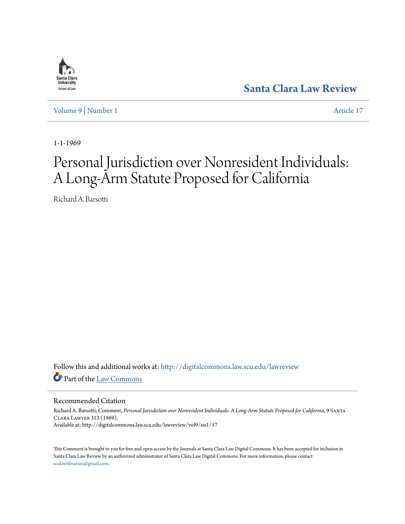

**[Santa Clara Law Review](http://digitalcommons.law.scu.edu/lawreview?utm_source=digitalcommons.law.scu.edu%2Flawreview%2Fvol9%2Fiss1%2F17&utm_medium=PDF&utm_campaign=PDFCoverPages)**

[Volume 9](http://digitalcommons.law.scu.edu/lawreview/vol9?utm_source=digitalcommons.law.scu.edu%2Flawreview%2Fvol9%2Fiss1%2F17&utm_medium=PDF&utm_campaign=PDFCoverPages) | [Number 1](http://digitalcommons.law.scu.edu/lawreview/vol9/iss1?utm_source=digitalcommons.law.scu.edu%2Flawreview%2Fvol9%2Fiss1%2F17&utm_medium=PDF&utm_campaign=PDFCoverPages) [Article 17](http://digitalcommons.law.scu.edu/lawreview/vol9/iss1/17?utm_source=digitalcommons.law.scu.edu%2Flawreview%2Fvol9%2Fiss1%2F17&utm_medium=PDF&utm_campaign=PDFCoverPages)

1-1-1969

# Personal Jurisdiction over Nonresident Individuals: A Long-Arm Statute Proposed for California

Richard A. Barsotti

Follow this and additional works at: [http://digitalcommons.law.scu.edu/lawreview](http://digitalcommons.law.scu.edu/lawreview?utm_source=digitalcommons.law.scu.edu%2Flawreview%2Fvol9%2Fiss1%2F17&utm_medium=PDF&utm_campaign=PDFCoverPages) Part of the [Law Commons](http://network.bepress.com/hgg/discipline/578?utm_source=digitalcommons.law.scu.edu%2Flawreview%2Fvol9%2Fiss1%2F17&utm_medium=PDF&utm_campaign=PDFCoverPages)

Recommended Citation

Richard A. Barsotti, Comment, *Personal Jurisdiction over Nonresident Individuals: A Long-Arm Statute Proposed for California*, 9 Santa Clara Lawyer 313 (1969). Available at: http://digitalcommons.law.scu.edu/lawreview/vol9/iss1/17

This Comment is brought to you for free and open access by the Journals at Santa Clara Law Digital Commons. It has been accepted for inclusion in Santa Clara Law Review by an authorized administrator of Santa Clara Law Digital Commons. For more information, please contact [sculawlibrarian@gmail.com](mailto:sculawlibrarian@gmail.com).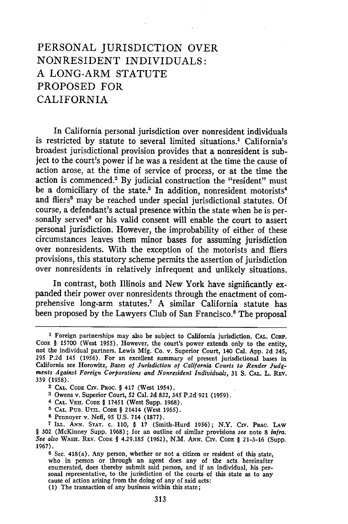# **PERSONAL** JURISDICTION OVER NONRESIDENT INDIVIDUALS: **A** LONG-ARM **STATUTE** PROPOSED FOR CALIFORNIA

In California personal jurisdiction over nonresident individuals is restricted by statute to several limited situations.<sup>1</sup> California's broadest jurisdictional provision provides that a nonresident is subject to the court's power if he was a resident at the time the cause of action arose, at the time of service of process, or at the time the action is commenced.<sup>2</sup> By judicial construction the "resident" must be a domiciliary of the state.<sup>3</sup> In addition, nonresident motorists<sup>4</sup> and fliers' may be reached under special jurisdictional statutes. **Of** course, a defendant's actual presence within the state when he is personally served<sup>6</sup> or his valid consent will enable the court to assert personal jurisdiction. However, the improbability of either of these circumstances leaves them minor bases for assuming jurisdiction over nonresidents. With the exception of the motorists and fliers provisions, this statutory scheme permits the assertion of jurisdiction over nonresidents in relatively infrequent and unlikely situations.

In contrast, both Illinois and New York have significantly expanded their power over nonresidents through the enactment of comprehensive long-arm statutes.7 **A** similar California statute has been proposed by the Lawyers Club of San Francisco.<sup>8</sup> The proposal

- **3** Owens v. Superior Court, 52 Cal. **2d 822, 345 P.2d 921 (1959).**
- **4 CAL. VEH. CODE** § 17451 (West Supp. **1968).**
- **5 'CAL. PUB.** UTIL. **CODE** § 21414 (West **1965).**
- **6** Pennoyer v. Neff, 95 **U.S.** 714 **(1877).**

**<sup>1</sup>** Foreign partnerships may also be subject to California jurisdiction. **CAL.** CoRP. **CODE** § **15700** (West **1955).** However, the court's power extends only to the entity, not the individual partners. Lewis **Mfg.** Co. v. Superior Court, 140 Cal. **App. 2d** 245, **295 P.2d** 145 **(1956).** For an excellent summary of present jurisdictional bases in California see Horowitz, *Bases of Jurisdiction oj California Courts to Render Judg- ments Against Foreign Corporations and Nonresident Individuals,* **31 S. CAL.** L. REV. 339 **(1958).**

**<sup>2</sup> CAL. CODE CIV. PROC.** § 417 (West 1954).

**<sup>7</sup>**Ii. **ANN. STAT. C. 110,** § **17** (Smith-Hurd **1956);** N.Y. Civ. PaAc. **LAW** § **302** (McKinney Supp. 1968) **;** for an outline of similar provisions *see* note **8** *infra. See also* WASH. **REV. CODE** § **4.29.185 (1962), N.M.** *ANN.* Civ. **CODE** § **21-3-16** (Supp. **1967).**

**<sup>8</sup>**Sec. 418(a). Any person, whether or not a citizen or resident of this state, who in person or through an agent does any of the acts hereinafte enumerated, does thereby submit said person, and if an individual, his per- sonal representative, to the jurisdiction of the courts of this state as to any cause of action arising from the doing of any of said acts: **(1)** The transaction of any business within this state;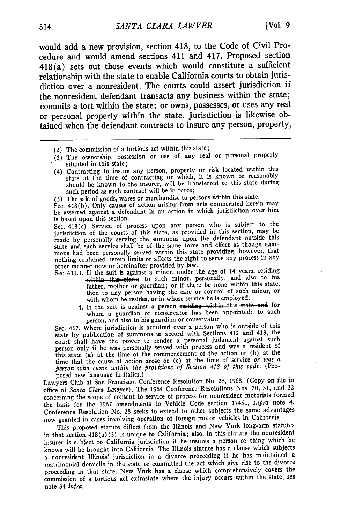would add a new provision, section 418, to the Code of Civil Procedure and would amend sections 411 and 417. Proposed section 418(a) sets out those events which would constitute a sufficient relationship with the state to enable California courts to obtain jurisdiction over a nonresident. The courts could assert jurisdiction if the nonresident defendant transacts any business within the state; commits a tort within the state; or owns, possesses, or uses any real or personal property within the state. Jurisdiction is likewise obtained when the defendant contracts to insure any person, property,

- (2) The commission of a tortious act within this state;
- (3) The ownership, possession or use of any real or personal property situated in this state;
- (4) Contracting to insure any person, property or risk located within this state at the time of contracting or which, it is known or reasonably should be known to the insurer, will be transferred to this state during such period as such contract will be in force;
- (5) The sale of goods, wares or merchandise to persons within this state.

Sec. 418(b). Only causes of action arising from acts enumerated herein may be asserted against a defendant in an action in which jurisdiction over him is based upon this section.

Sec. 418(c). Service of process upon any person who is subject to the jurisdiction of the courts of this state, as provided in this section, may be made by personally serving the summons upon the defendant outside this state and such service shall be of the same force and effect as though summons had been personally served within this state providing, however, that nothing contained herein limits or affects the right to serve any process in any other manner now or hereinafter provided by law.

- Sec. 411.3. If the suit is against a minor, under the age of 14 years, residing within this state; to such minor, personally, and also to his father, mother or guardian; or if there be none within this state, then to any person having the care or control of such minor, or with whom he resides, or in whose service he is employed.
	- 4. If the suit is against a person residing within this state and for whom a guardian or conservator has been appointed: to such person, and also to his guardian or conservator.

Sec. 417. Where jurisdiction is acquired over a person who is outside of this state by publication of summons in accord with Sections 412 and 413, the court shall have the power to render a personal judgment against such person only if he was personally served with process and was a resident of this state (a) at the time of the commencement of the action or (b) at the time that the cause of action arose or (c) at the time of service *or was a person who came within the provisions* of *Section 418 of this code.* (Proposed new language in italics.)

Lawyers Club of San Francisco, Conference Resolution No. 28, 1968. (Copy on file in office of *Santa Clara Lawyer).* The 1964 Conference Resolutions Nos. 30, 31, and **<sup>32</sup>** concerning the scope of consent to service of process for nonresident motorists formed the basis for the 1967 amendments to Vehicle Code section 17451, *supra* note 4. Conference Resolution No. 28 seeks to extend to other subjects the same advantages now granted in cases involving operation of foreign motor vehicles in California.

This proposed statute differs from the Illinois and New York long-arm statutes in that section 418(a) (5) is unique to California; also, in this statute the nonresident insurer is subject to California jurisdiction if he insures a person or thing which he knows will be brought into California. The Illinois statute has a clause which subjects a nonresident Illinois' jurisdiction in a divorce proceeding if he has maintained a matrimonial domicile in the state or committed the act which give rise to the divorce proceeding in that state. New York has a clause which comprehensively covers the commission of a tortious act extrastate where the injury occurs within the state, *see* note 34 *inlra.*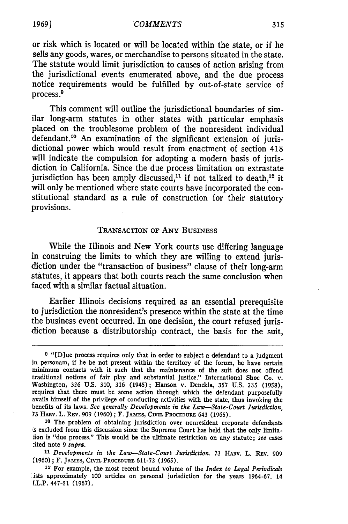or risk which is located or will be located within the state, or if he sells any goods, wares, or merchandise to persons situated in the state. The statute would limit jurisdiction to causes of action arising from the jurisdictional events enumerated above, and the due process notice requirements would be fulfilled by out-of-state service of process.9

This comment will outline the jurisdictional boundaries of similar long-arm statutes in other states with particular emphasis placed on the troublesome problem of the nonresident individual defendant.<sup>10</sup> An examination of the significant extension of jurisdictional power which would result from enactment of section 418 will indicate the compulsion for adopting a modern basis of jurisdiction in California. Since the due process limitation on extrastate jurisdiction has been amply discussed,<sup>11</sup> if not talked to death,<sup>12</sup> it will only be mentioned where state courts have incorporated the constitutional standard as a rule of construction for their statutory provisions.

#### TRANSACTION OF ANY BUSINESS

**While** the Illinois and New York courts use differing language in construing the limits to which they are willing to extend jurisdiction under the "transaction of business" clause of their long-arm statutes, it appears that both courts reach the same conclusion when faced with a similar factual situation.

Earlier Illinois decisions required as an essential prerequisite to jurisdiction the nonresident's presence within the state at the time the business event occurred. In one decision, the court refused jurisdiction because a distributorship contract, the basis for the suit,

**<sup>10</sup>**The problem of obtaining jurisdiction over nonresident corporate defendants is excluded from this discussion since the Supreme Court has held that the only limitation is "due process." This would be the ultimate restriction on any statute; *see* cases :ited note 9 *supra.*

11 Developments in the Law-State-Court Jurisdiction. 73 HARV. L. REV. 909 (1960) ; F. **JAMES, CIvIL PROCEDURE** 611-72 (1965). 12 For example, the most recent hound volume of the *Index to Legal Periodicals*

**<sup>9</sup>** "[D]ue process requires only that in order to subject a defendant to a judgment in personam, **if he** be not present within the territory of the forum, he have certain minimum contacts with it such that the maintenance of the suit does not offend traditional notions of fair play and substantial justice." International Shoe Co. v. Washington, **326 U.S. 310, 316** (1945); Hanson v. Denckla, **357 U.S. 235 (1958),** requires that there must be some action through which the defendant purposefully avails himself of the privilege of conducting activities with the state, thus invoking the benefits of its laws. *See generally Developments in the Law-State-Court Jurisdiction,* <sup>73</sup>H~Av. L. **REV.** 909 (1960) **;** F. **JAMEs, CIVIL PROCEDURE** 643 (1965).

<sup>.</sup>ists approximately 100 articles on personal jurisdiction for the years 1964-67. 14 .L.P. 447-51 (1967).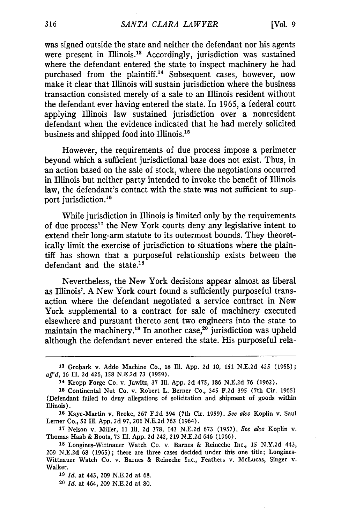was signed outside the state and neither the defendant nor his agents were present in Illinois.<sup>13</sup> Accordingly, jurisdiction was sustained where the defendant entered the state to inspect machinery he had purchased from the plaintiff.14 Subsequent cases, however, now make it clear that Illinois will sustain jurisdiction where the business transaction consisted merely of a sale to an Illinois resident without the defendant ever having entered the state. In 1965, a federal court applying Illinois law sustained jurisdiction over a nonresident defendant when the evidence indicated that he had merely solicited business and shipped food into Illinois.'

However, the requirements of due process impose a perimeter beyond which a sufficient jurisdictional base does not exist. Thus, in an action based on the sale of stock, where the negotiations occurred in Illinois but neither party intended to invoke the benefit of Illinois law, the defendant's contact with the state was not sufficient to support jurisdiction.<sup>16</sup>

While jurisdiction in Illinois is limited only by the requirements of due process<sup>17</sup> the New York courts deny any legislative intent to extend their long-arm statute to its outermost bounds. They theoretically limit the exercise of jurisdiction to situations where the plaintiff has shown that a purposeful relationship exists between the defendant and the state.<sup>18</sup>

Nevertheless, the New York decisions appear almost as liberal as Illinois'. A New York court found a sufficiently purposeful transaction where the defendant negotiated a service contract in New York supplemental to a contract for sale of machinery executed elsewhere and pursuant thereto sent two engineers into the state to maintain the machinery.<sup>19</sup> In another case,<sup>20</sup> jurisdiction was upheld although the defendant never entered the state. His purposeful rela-

**17** Nelson v. Miller, 11 **IR. 2d** 378, 143 N.E.2d 673 (1957). *See also* Koplin v. Thomas Haab & Boots, 73 Ill. App. **2d** 242, **219** N.E.2d 646 (1966).

**<sup>13</sup>** Grobark v. Addo Machine Co., 18 IUl. App. 2d 10, 151 N.E.2d 425 (1958); *aff'd,* 16 Ill. 2d 426, 158 N.E.2d 73 (1959).

**<sup>14</sup>**Kropp Forge Co. v. Jawitz, **37** Ill. App. 2d 475, 186 N.E.2d 76 (1962).

**<sup>15</sup>** Continental Nut Co. v. Robert L. Berner Co., 345 F.2d 395 (7th Cir. 1965) (Defendant failed to deny allegations of solicitation and shipment of goods within Illinois).

**<sup>16</sup>** Kaye-Martin v. Broke, **267** F.2d 394 (7th Cir. 1959). *See also* Koplin v. Saul Lerner Co., 52 Ill. App. 2d **97,** 201 N.E.2d 763 (1964).

**<sup>18</sup>** Longines-Wittnauer Watch Co. v. Barnes & Reineche Inc., 15 N.Y.2d 443, **209** N.E.2d 68 (1965); there are three cases decided under this one title; Longines-Wittnauer Watch Co. v. Barnes & Reineche Inc., Feathers v. McLucas, Singer v. Walker.

**<sup>19</sup>***Id.* at 443, 209 N.E.2d at 68.

**<sup>20</sup>***Id.* at 464, 209 N.E.2d at **80.**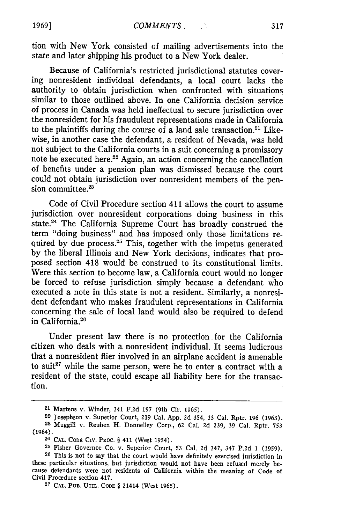tion with New York consisted of mailing advertisements into the state and later shipping his product to a New York dealer.

Because of California's restricted jurisdictional statutes covering nonresident individual defendants, a local court lacks the authority to obtain jurisdiction when confronted with situations similar to those outlined above. In one California decision service of process in Canada was held ineffectual to secure jurisdiction over the nonresident for his fraudulent representations made in California to the plaintiffs during the course of a land sale transaction.<sup>21</sup> Likewise, in another case the defendant, a resident of Nevada, was held not subject to the California courts in a suit concerning a promissory note he executed here.<sup>22</sup> Again, an action concerning the cancellation of benefits under a pension plan was dismissed because the court could not obtain jurisdiction over nonresident members of the pension committee.<sup>23</sup>

Code of Civil Procedure section 411 allows the court to assume jurisdiction over nonresident corporations doing business in this state.<sup>24</sup> The California Supreme Court has broadly construed the term "doing business" and has imposed only those limitations required by due process.<sup>25</sup> This, together with the impetus generated by the liberal Illinois and New York decisions, indicates that proposed section 418 would be construed to its constitutional limits. Were this section to become law, a California court would no longer be forced to refuse jurisdiction simply because a defendant who executed a note in this state is not a resident. Similarly, a nonresident defendant who makes fraudulent representations in California concerning the sale of local land would also be required to defend in California.<sup>26</sup>

Under present law there is no protection for the California citizen who deals with a nonresident individual. It seems ludicrous that a nonresident flier involved in an airplane accident is amenable to suit<sup>27</sup> while the same person, were he to enter a contract with a resident of the state, could escape all liability here for the transaction.

**<sup>21</sup>** Martens v. Winder, 341 **F.2d** 197 (9th Cir. **1965).**

<sup>22</sup> Josephson v. Superior Court, 219 Cal. App. 2d 354, 33 Cal. Rptr. 196 (1963).

**<sup>28</sup>** Muggill v. Reuben H. Donnelley Corp., **62** Cal. 2d 239, 39 Cal. Rptr. **<sup>753</sup>** (1964).

<sup>2</sup> **CAL. CODE** CIV. PRoc. § 411 (West 1954).

**<sup>25</sup>** Fisher Governor Co. v. Superior Court, **53** Cal. **2d** 347, 347 P.2d **1 (1959).**

**<sup>26</sup>**This is not to say that the court would have definitely exercised jurisdiction in these particular situations, but jurisdiction would not have been refused merely because defendants were not residents of California within the meaning of Code of Civil Procedure section 417.

**<sup>27</sup> CAL. PUB. UTIL. CODE** § 21414 (West 1965).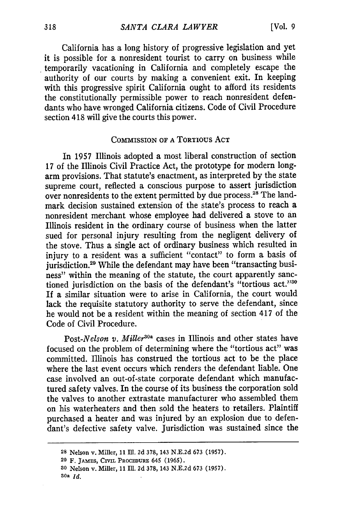California has a long history of progressive legislation and yet it is possible for a nonresident tourist to carry on business while temporarily vacationing in California and completely escape the authority of our courts by making a convenient exit. In keeping with this progressive spirit California ought to afford its residents the constitutionally permissible power to reach nonresident defendants who have wronged California citizens. Code of Civil Procedure section 418 will give the courts this power.

### COMMISSION OF A TORTIOUs ACT

In 1957 Illinois adopted a most liberal construction of section 17 of the Illinois Civil Practice Act, the prototype for modern longarm provisions. That statute's enactment, as interpreted by the state supreme court, reflected a conscious purpose to assert jurisdiction over nonresidents to the extent permitted by due process.<sup>28</sup> The landmark decision sustained extension of the state's process to reach a nonresident merchant whose employee had delivered a stove to an Illinois resident in the ordinary course of business when the latter sued for personal injury resulting from the negligent delivery of the stove. Thus a single act of ordinary business which resulted in injury to a resident was a sufficient "contact" to form a basis of jurisdiction.<sup>29</sup> While the defendant may have been "transacting business" within the meaning of the statute, the court apparently sanctioned jurisdiction on the basis of the defendant's "tortious act."30 If a similar situation were to arise in California, the court would lack the requisite statutory authority to serve the defendant, since he would not be a resident within the meaning of section 417 of the Code of Civil Procedure.

*Post-Nelson v. Miller3°a* cases in Illinois and other states have focused on the problem of determining where the "tortious act" was committed. Illinois has construed the tortious act to be the place where the last event occurs which renders the defendant liable. One case involved an out-of-state corporate defendant which manufactured safety valves. In the course of its business the corporation sold the valves to another extrastate manufacturer who assembled them on his waterheaters and then sold the heaters to retailers. Plaintiff purchased a heater and was injured by an explosion due to defendant's defective safety valve. Jurisdiction was sustained since the

**<sup>28</sup>** Nelson v. Miller, 11 Ill. **2d** 378, 143 N.E.2d **673** (1957).

**<sup>29</sup>** F. **JAMES,** CIVIL **PROCEDURE** 645 **(1965).**

**<sup>3</sup>o** Nelson v. Miller, 11 Ill. **2d** 378, 143 N.E.2d **673** (1957). **Soa** *Id.*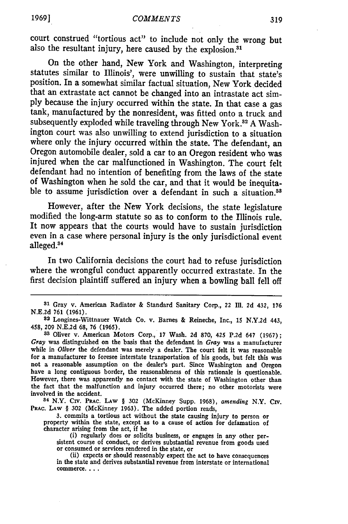**1969]**

court construed "tortious act" to include not only the wrong but also the resultant injury, here caused by the explosion.<sup>31</sup>

On the other hand, New York and Washington, interpreting statutes similar to Illinois', were unwilling to sustain that state's position. In a somewhat similar factual situation, New York decided that an extrastate act cannot be changed into an intrastate act simply because the injury occurred within the state. In that case a gas tank, manufactured by the nonresident, was fitted onto a truck and subsequently exploded while traveling through New York.<sup>32</sup> A Washington court was also unwilling to extend jurisdiction to a situation where only the injury occurred within the state. The defendant, an Oregon automobile dealer, sold a car to an Oregon resident who was injured when the car malfunctioned in Washington. The court felt defendant had no intention of benefiting from the laws of the state of Washington when he sold the car, and that it would be inequitable to assume jurisdiction over a defendant in such a situation.<sup>33</sup>

However, after the New York decisions, the state legislature modified the long-arm statute so as to conform to the Illinois rule. It now appears that the courts would have to sustain jurisdiction even in a case where personal injury is the only jurisdictional event  $\alpha$ lleged. $34$ 

In two California decisions the court had to refuse jurisdiction where the wrongful conduct apparently occurred extrastate. In the first decision plaintiff suffered an injury when a bowling ball fell off

**<sup>34</sup>**N.Y. Civ. **PRAc. LAW** § **302** (McKinney Supp. **1968),** *amending* N.Y. **Civ. PRAc. LAW** § **302** (McKinney 1963). The added portion reads,

3. commits a tortious act without the state causing injury to person or property within the state, except as to a cause of action for defamation of character arising from the act, if he

(i) regularly does or solicits business, or engages in any other persistent course of conduct, or derives substantial revenue from goods used<br>or consumed or services rendered in the state, or<br>(ii) expects or should reasonably expect the act to have consequences<br>in the state and derives sub

commerce. . . .

**<sup>31</sup>**Gray v. American Radiator **&** Standard Sanitary Corp., 22 Il. **2d** 432, **<sup>176</sup> N.E.2d 761 (1961).**

**<sup>82</sup>** Longines-Wittnauer Watch Co. v. Barnes **&** Reineche, Inc., **15 N.Y.2d** 443, 458, **209 N.E.2d 68, 76 (1965).**

**<sup>33</sup>**Oliver v. American Motors Corp., **17** Wash. **2d 870,** 425 **P.2d** 647 **(1967);** Gray was distinguished on the basis that the defendant in Gray was a manufacturer while in *Oliver* the defendant was merely a dealer. The court felt it was reasonable for a manufacturer to foresee interstate transportation of his goods, but felt this was not a reasonable assumption on the dealer's part. Since Washington and Oregon have a long contiguous border, the reasonableness of this rationale is questionable. However, there was apparently no contact with the state of Washington other than the fact that the malfunction and injury occurred there; no other motorists were involved in the accident.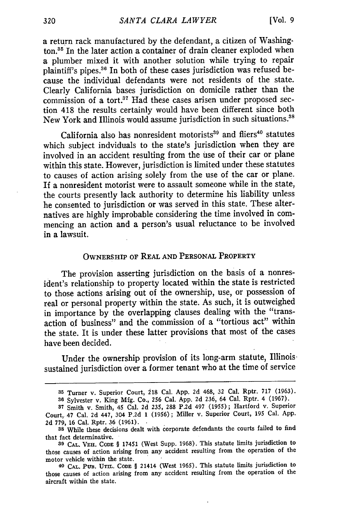a return rack manufactured by the defendant, a citizen of Washington.<sup>35</sup> In the later action a container of drain cleaner exploded when a plumber mixed it with another solution while trying to repair plaintiff's pipes.<sup>36</sup> In both of these cases jurisdiction was refused because the individual defendants were not residents of the state. Clearly California bases jurisdiction on domicile rather than the commission of a **tort.37** Had these cases arisen under proposed section 418 the results certainly would have been different since both New York and Illinois would assume jurisdiction in such situations."s

California also has nonresident motorists<sup>39</sup> and fliers<sup>40</sup> statutes which subject indviduals to the state's jurisdiction when they are involved in an accident resulting from the use of their car or plane within this state. However, jurisdiction is limited under these statutes to causes of action arising solely from the use of the car or plane. If a nonresident motorist were to assault someone while in the state, the courts presently lack authority to determine his liability unless he consented to jurisdiction or was served in this state. These alternatives are highly improbable considering the time involved in commencing an action and a person's usual reluctance to be involved in a lawsuit.

# OWNERSHIP OF REAL **AND** PERSONAL PROPERTY

The provision asserting jurisdiction on the basis of a nonresident's relationship to property located within the state is restricted to those actions arising out of the ownership, use, or possession of real or personal property within the state. As such, it is outweighed in importance by the overlapping clauses dealing with the "transaction of business" and the commission of a "tortious act" within the state. It is under these latter provisions that most of the cases have been decided.

Under the ownership provision of its long-arm statute, Illinois. sustained jurisdiction over a former tenant who at the time of service

**<sup>35</sup>**Turner v. Superior Court, **218** Cal. **App. 2d** 468, **32** Cal. Rptr. 717 (1963).

**<sup>36</sup>**Sylvester v. King Mfg. Co., 256 Cal. App. 2d 236, 64 Cal. Rptr. 4 (1967). **37** Smith v. Smith, 45 Cal. 2d 235, 288 P.2d 497 (1955); Hartford v. Superior

Court, 47 Cal. 2d 447, 304 P.2d **1** (1956); Miller v. Superior Court, **195** Cal. App. 2d 779, **16** Cal. Rptr. 36 (1961).

**<sup>38</sup>**While these decisions dealt with corporate defendants the courts failed to find that fact determinative.

**<sup>39</sup> CAL. VEH. CODE** § 17451 (West Supp. 1968). This statute limits jurisdiction to those causes of action arising from any accident resulting from the operation of the motor vehicle within the state.

<sup>40</sup>**CAL. PUB.** Urn.. **CoDE** § 21414 (West 1965). This statute limits jurisdiction to those causes of action arising from any accident resulting from the operation of the aircraft within the state.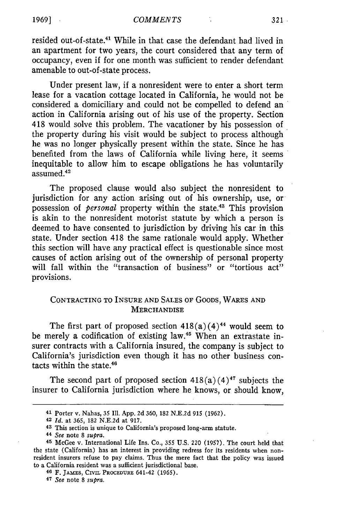resided out-of-state.<sup>41</sup> While in that case the defendant had lived in an apartment for two years, the court considered that any term of occupancy, even if for one month was sufficient to render defendant amenable to out-of-state process.

Under present law, if a nonresident were to enter a short term lease for a vacation cottage located in California, he would not be considered a domiciliary and could not be compelled to defend an action in California arising out of his use of the property. Section 418 would solve this problem. The vacationer by his possession of the property during his visit would be subject to process although he was no longer physically present within the state. Since he has benefited from the laws of California while living here, it seems inequitable to allow him to escape obligations he has voluntarily assumed.<sup>42</sup>

The proposed clause would also subject the nonresident to jurisdiction for any action arising out of his ownership, use, or possession of *personal* property within the state.<sup>43</sup> This provision is akin to the nonresident motorist statute by which a person is deemed to have consented to jurisdiction by driving his car in this state. Under section 418 the same rationale would apply. Whether this section will have any practical effect is questionable since most causes of action arising out of the ownership of personal property will fall within the "transaction of business" or "tortious act" provisions.

## CONTRACTING TO INSURE AND SALES OF GOODS, WARES AND **MERCHANDISE**

The first part of proposed section  $418(a)(4)^{44}$  would seem to be merely a codification of existing law.<sup>45</sup> When an extrastate insurer contracts with a California insured, the company is subject to California's jurisdiction even though it has no other business contacts within the state. $46$ 

The second part of proposed section  $418(a)(4)^{47}$  subjects the insurer to California jurisdiction where he knows, or should know,

**<sup>47</sup>***See* note **8** *supra.*

<sup>41</sup> Porter v. Nahas, 35 **111.** App. 2d 360, 182 N.E.2d 915 (1962).

*Id.* at 365, 182 N.E.2d at 917.

<sup>43</sup> This section is unique to California's proposed long-arm statute.

<sup>44</sup> *See* note **8** *supra.*

**<sup>45</sup>**McGee v. International Life Ins. Co., 355 U.S. 220 (1957). The court held that the state (California) has an interest in providing redress for its residents when nonresident insurers refuse to pay claims. Thus the mere fact that the policy was issued to a California resident was a sufficient jurisdictional base.

**<sup>46</sup>** F. **JAMES,** CIvIs. **PROCEDURE** 641-42 (1965).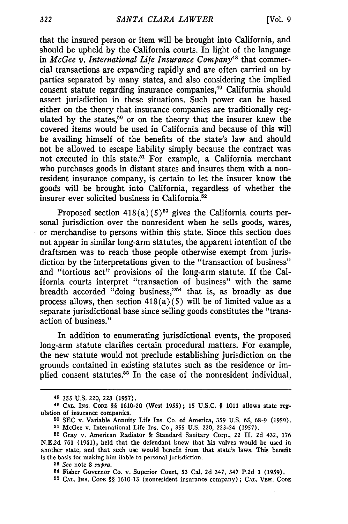that the insured person or item will be brought into California, and should be upheld by the California courts. In light of the language in *McGee v. International Life Insurance Company48* that commercial transactions are expanding rapidly and are often carried on by parties separated by many states, and also considering the implied consent statute regarding insurance companies,<sup>49</sup> California should assert jurisdiction in these situations. Such power can be based either on the theory that insurance companies are traditionally regulated by the states,<sup>50</sup> or on the theory that the insurer knew the covered items would be used in California and because of this will be availing himself of the benefits of the state's law and should not be allowed to escape liability simply because the contract was not executed in this state.<sup>51</sup> For example, a California merchant who purchases goods in distant states and insures them with a nonresident insurance company, is certain to let the insurer know the goods will be brought into California, regardless of whether the insurer ever solicited business in California. <sup>52</sup>

Proposed section  $418(a)(5)^{53}$  gives the California courts personal jurisdiction over the nonresident when he sells goods, wares, or merchandise to persons within this state. Since this section does not appear in similar long-arm statutes, the apparent intention of the draftsmen was to reach those people otherwise exempt from jurisdiction by the interpretations given to the "transaction of business" and "tortious act" provisions of the long-arm statute. If the California courts interpret "transaction of business" with the same breadth accorded "doing business,"54 that is, as broadly as due process allows, then section  $418(a)(5)$  will be of limited value as a separate jurisdictional base since selling goods constitutes the "transaction of business."

In addition to enumerating jurisdictional events, the proposed long-arm statute clarifies certain procedural matters. For example, the new statute would not preclude establishing jurisdiction on the grounds contained in existing statutes such as the residence or implied consent statutes.55 In the case of the nonresident individual,

**<sup>48 355</sup> U.S.** 220, **223 (1957).**

**<sup>49</sup> CAL.** INS. **CODE** §§ 1610-20 (West 1955); 15 **U.S.C.** § 1011 allows state regulation of insurance companies.

**<sup>50</sup>** SEC v. Variable Annuity Life Ins. Co. of America, 359 U.S. 65, 68-9 (1959). **<sup>51</sup>**McGee v. International Life Ins. Co., 355 U.S. 220, 223-24 (1957).

**<sup>52</sup>** Gray v. American Radiator & Standard Sanitary Corp., 22 Ill. **2d** 432, 176

N.E.2d 761 (1961), held that the defendant knew that his valves would be used in another state, and that such use would benefit from that state's laws. This benefit is the basis for making him liable to personal jurisdiction.

**<sup>53</sup>***See* note **8** *supra.*

**<sup>54</sup>** Fisher Governor Co. v. Superior Court, 53 Cal. 2d 347, 347 P.2d 1 (1959).

**<sup>55</sup>CAL. INS. CODE** §§ 1610-13 (nonresident insurance company) ; **CAL. VEH. CODE**